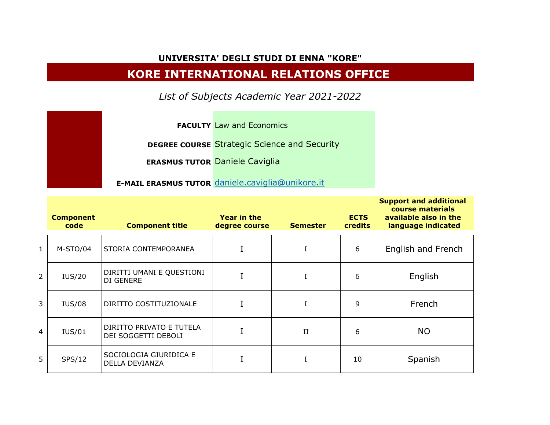## **UNIVERSITA' DEGLI STUDI DI ENNA "KORE"**

## **KORE INTERNATIONAL RELATIONS OFFICE**

*List of Subjects Academic Year 2021-2022*

**FACULTY** Law and Economics

**DEGREE COURSE** Strategic Science and Security

**ERASMUS TUTOR** Daniele Caviglia

**E-MAIL ERASMUS TUTOR** [daniele.caviglia@unikore.it](mailto:daniele.caviglia@unikore.it)

|                | <b>Component</b><br>code | <b>Component title</b>                          | Year in the<br>degree course | <b>Semester</b> | <b>ECTS</b><br><b>credits</b> | <b>Support and additional</b><br>course materials<br>available also in the<br>language indicated |
|----------------|--------------------------|-------------------------------------------------|------------------------------|-----------------|-------------------------------|--------------------------------------------------------------------------------------------------|
| $\mathbf{1}$   | M-STO/04                 | STORIA CONTEMPORANEA                            |                              | I               | 6                             | English and French                                                                               |
| $\overline{2}$ | IUS/20                   | DIRITTI UMANI E QUESTIONI<br>DI GENERE          |                              |                 | 6                             | English                                                                                          |
| $\mathbf{3}$   | <b>IUS/08</b>            | DIRITTO COSTITUZIONALE                          |                              | I               | 9                             | French                                                                                           |
| $\overline{4}$ | <b>IUS/01</b>            | DIRITTO PRIVATO E TUTELA<br>DEI SOGGETTI DEBOLI |                              | $\mathbf{II}$   | 6                             | <b>NO</b>                                                                                        |
| 5              | SPS/12                   | SOCIOLOGIA GIURIDICA E<br>DELLA DEVIANZA        |                              |                 | 10                            | Spanish                                                                                          |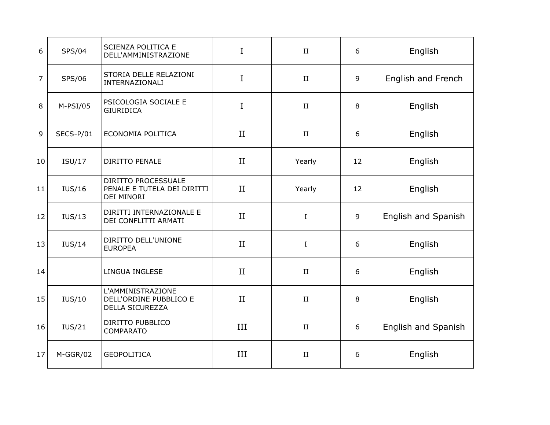| 6              | <b>SPS/04</b> | SCIENZA POLITICA E<br>DELL'AMMINISTRAZIONE                       | I           | $\rm II$    | 6  | English             |
|----------------|---------------|------------------------------------------------------------------|-------------|-------------|----|---------------------|
| $\overline{7}$ | SPS/06        | STORIA DELLE RELAZIONI<br>INTERNAZIONALI                         | $\mathbf I$ | $\rm II$    | 9  | English and French  |
| 8              | $M-PSI/05$    | PSICOLOGIA SOCIALE E<br><b>GIURIDICA</b>                         | I           | $\rm II$    | 8  | English             |
| $\overline{9}$ | SECS-P/01     | ECONOMIA POLITICA                                                | II          | $\rm II$    | 6  | English             |
| 10             | ISU/17        | DIRITTO PENALE                                                   | II          | Yearly      | 12 | English             |
| 11             | IUS/16        | DIRITTO PROCESSUALE<br>PENALE E TUTELA DEI DIRITTI<br>DEI MINORI | II          | Yearly      | 12 | English             |
| 12             | IUS/13        | DIRITTI INTERNAZIONALE E<br>DEI CONFLITTI ARMATI                 | II          | $\mathbf I$ | 9  | English and Spanish |
| 13             | IUS/14        | DIRITTO DELL'UNIONE<br><b>EUROPEA</b>                            | II          | $\mathbf I$ | 6  | English             |
| 14             |               | LINGUA INGLESE                                                   | II          | $\rm II$    | 6  | English             |
| 15             | IUS/10        | L'AMMINISTRAZIONE<br>DELL'ORDINE PUBBLICO E<br>DELLA SICUREZZA   | II          | $\rm II$    | 8  | English             |
| 16             | IUS/21        | DIRITTO PUBBLICO<br><b>COMPARATO</b>                             | III         | $\rm II$    | 6  | English and Spanish |
| 17             | M-GGR/02      | <b>GEOPOLITICA</b>                                               | III         | $\rm II$    | 6  | English             |